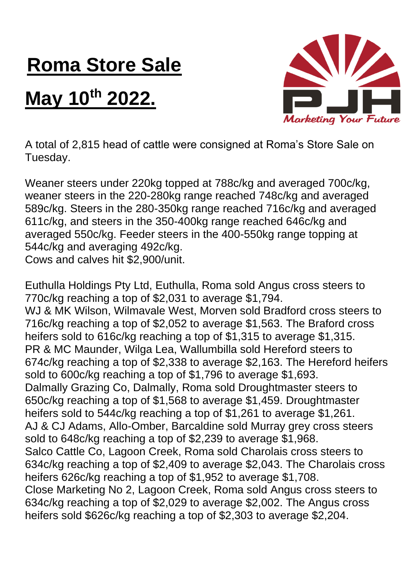## **Roma Store Sale**

## **May 10th 2022.**



A total of 2,815 head of cattle were consigned at Roma's Store Sale on Tuesday.

Weaner steers under 220kg topped at 788c/kg and averaged 700c/kg, weaner steers in the 220-280kg range reached 748c/kg and averaged 589c/kg. Steers in the 280-350kg range reached 716c/kg and averaged 611c/kg, and steers in the 350-400kg range reached 646c/kg and averaged 550c/kg. Feeder steers in the 400-550kg range topping at 544c/kg and averaging 492c/kg.

Cows and calves hit \$2,900/unit.

Euthulla Holdings Pty Ltd, Euthulla, Roma sold Angus cross steers to 770c/kg reaching a top of \$2,031 to average \$1,794. WJ & MK Wilson, Wilmavale West, Morven sold Bradford cross steers to 716c/kg reaching a top of \$2,052 to average \$1,563. The Braford cross heifers sold to 616c/kg reaching a top of \$1,315 to average \$1,315. PR & MC Maunder, Wilga Lea, Wallumbilla sold Hereford steers to 674c/kg reaching a top of \$2,338 to average \$2,163. The Hereford heifers sold to 600c/kg reaching a top of \$1,796 to average \$1,693. Dalmally Grazing Co, Dalmally, Roma sold Droughtmaster steers to 650c/kg reaching a top of \$1,568 to average \$1,459. Droughtmaster heifers sold to 544c/kg reaching a top of \$1,261 to average \$1,261. AJ & CJ Adams, Allo-Omber, Barcaldine sold Murray grey cross steers sold to 648c/kg reaching a top of \$2,239 to average \$1,968. Salco Cattle Co, Lagoon Creek, Roma sold Charolais cross steers to 634c/kg reaching a top of \$2,409 to average \$2,043. The Charolais cross heifers 626c/kg reaching a top of \$1,952 to average \$1,708. Close Marketing No 2, Lagoon Creek, Roma sold Angus cross steers to 634c/kg reaching a top of \$2,029 to average \$2,002. The Angus cross heifers sold \$626c/kg reaching a top of \$2,303 to average \$2,204.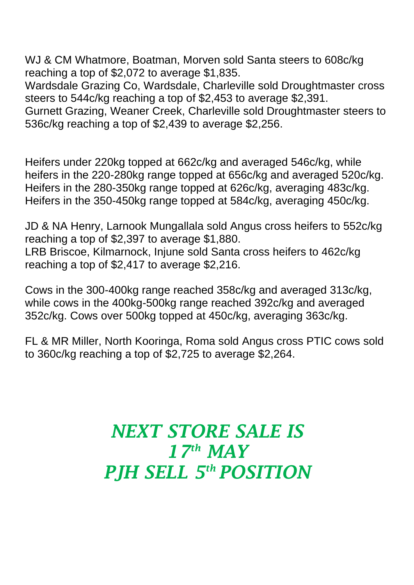WJ & CM Whatmore, Boatman, Morven sold Santa steers to 608c/kg reaching a top of \$2,072 to average \$1,835.

Wardsdale Grazing Co, Wardsdale, Charleville sold Droughtmaster cross steers to 544c/kg reaching a top of \$2,453 to average \$2,391. Gurnett Grazing, Weaner Creek, Charleville sold Droughtmaster steers to

536c/kg reaching a top of \$2,439 to average \$2,256.

Heifers under 220kg topped at 662c/kg and averaged 546c/kg, while heifers in the 220-280kg range topped at 656c/kg and averaged 520c/kg. Heifers in the 280-350kg range topped at 626c/kg, averaging 483c/kg. Heifers in the 350-450kg range topped at 584c/kg, averaging 450c/kg.

JD & NA Henry, Larnook Mungallala sold Angus cross heifers to 552c/kg reaching a top of \$2,397 to average \$1,880. LRB Briscoe, Kilmarnock, Injune sold Santa cross heifers to 462c/kg reaching a top of \$2,417 to average \$2,216.

Cows in the 300-400kg range reached 358c/kg and averaged 313c/kg, while cows in the 400kg-500kg range reached 392c/kg and averaged 352c/kg. Cows over 500kg topped at 450c/kg, averaging 363c/kg.

FL & MR Miller, North Kooringa, Roma sold Angus cross PTIC cows sold to 360c/kg reaching a top of \$2,725 to average \$2,264.

## *NEXT STORE SALE IS 17 th MAY PJH SELL 5 th POSITION*